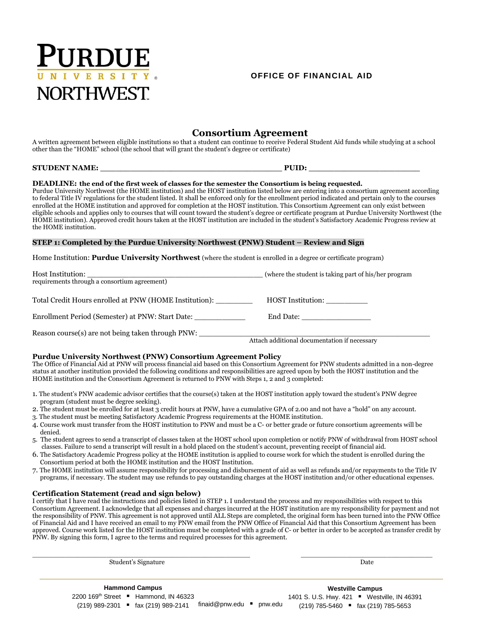

## **OFFICE OF FINANCIAL AID**

# **Consortium Agreement**

A written agreement between eligible institutions so that a student can continue to receive Federal Student Aid funds while studying at a school other than the "HOME" school (the school that will grant the student's degree or certificate)

# **STUDENT NAME: \_\_\_\_\_\_\_\_\_\_\_\_\_\_\_\_\_\_\_\_\_\_\_\_\_\_\_\_\_\_\_\_\_\_\_\_ PUID: \_\_\_\_\_\_\_\_\_\_\_\_\_\_\_\_\_\_\_\_\_\_**

 enrolled at the HOME institution and approved for completion at the HOST institution. This Consortium Agreement can only exist between **DEADLINE: the end of the first week of classes for the semester the Consortium is being requested.**  Purdue University Northwest (the HOME institution) and the HOST institution listed below are entering into a consortium agreement according to federal Title IV regulations for the student listed. It shall be enforced only for the enrollment period indicated and pertain only to the courses eligible schools and applies only to courses that will count toward the student's degree or certificate program at Purdue University Northwest (the HOME institution). Approved credit hours taken at the HOST institution are included in the student's Satisfactory Academic Progress review at the HOME institution.

#### **STEP 1: Completed by the Purdue University Northwest (PNW) Student – Review and Sign**

Home Institution: **Purdue University Northwest** (where the student is enrolled in a degree or certificate program)

| Host Institution:<br><u> 1989 - Johann John Stone, markin sanadi a shekara 1989 - An tsara 1989 - An tsara 1989 - An tsara 1989 - An t</u><br>requirements through a consortium agreement) | (where the student is taking part of his/her program) |
|--------------------------------------------------------------------------------------------------------------------------------------------------------------------------------------------|-------------------------------------------------------|
| Total Credit Hours enrolled at PNW (HOME Institution):                                                                                                                                     | HOST Institution:                                     |
| Enrollment Period (Semester) at PNW: Start Date:                                                                                                                                           |                                                       |
| Reason course(s) are not being taken through PNW:                                                                                                                                          | Attach additional documentation if necessary          |

#### **Purdue University Northwest (PNW) Consortium Agreement Policy**

 status at another institution provided the following conditions and responsibilities are agreed upon by both the HOST institution and the The Office of Financial Aid at PNW will process financial aid based on this Consortium Agreement for PNW students admitted in a non-degree HOME institution and the Consortium Agreement is returned to PNW with Steps 1, 2 and 3 completed:

- 1. The student's PNW academic advisor certifies that the course(s) taken at the HOST institution apply toward the student's PNW degree program (student must be degree seeking).
- 2. The student must be enrolled for at least 3 credit hours at PNW, have a cumulative GPA of 2.00 and not have a "hold" on any account.
- 3. The student must be meeting Satisfactory Academic Progress requirements at the HOME institution.
- 4. Course work must transfer from the HOST institution to PNW and must be a C- or better grade or future consortium agreements will be denied.
- 5. The student agrees to send a transcript of classes taken at the HOST school upon completion or notify PNW of withdrawal from HOST school classes. Failure to send a transcript will result in a hold placed on the student's account, preventing receipt of financial aid.
- 6. The Satisfactory Academic Progress policy at the HOME institution is applied to course work for which the student is enrolled during the Consortium period at both the HOME institution and the HOST Institution.
- 7. The HOME institution will assume responsibility for processing and disbursement of aid as well as refunds and/or repayments to the Title IV programs, if necessary. The student may use refunds to pay outstanding charges at the HOST institution and/or other educational expenses.

## **Certification Statement (read and sign below)**

I certify that I have read the instructions and policies listed in STEP 1. I understand the process and my responsibilities with respect to this Consortium Agreement. I acknowledge that all expenses and charges incurred at the HOST institution are my responsibility for payment and not the responsibility of PNW. This agreement is not approved until ALL Steps are completed, the original form has been turned into the PNW Office of Financial Aid and I have received an email to my PNW email from the PNW Office of Financial Aid that this Consortium Agreement has been approved. Course work listed for the HOST institution must be completed with a grade of C- or better in order to be accepted as transfer credit by PNW. By signing this form, I agree to the terms and required processes for this agreement.

\_\_\_\_\_\_\_\_\_\_\_\_\_\_\_\_\_\_\_\_\_\_\_\_\_\_\_\_\_\_\_\_\_\_\_\_\_\_\_\_\_\_\_\_\_\_\_\_\_\_\_\_\_ \_\_\_\_\_\_\_\_\_\_\_\_\_\_\_\_\_\_\_\_\_\_\_\_\_\_\_\_\_\_\_\_

2200 169<sup>th</sup> Street ■ Hammond, IN 46323 (219) 989-2301 fax (219) 989-2141 1401 S. U.S. Hwy. 421 Westville, IN 46391 finaid@pnw.edu pnw.edu (219) 785-5460 fax (219) 785-5653**Hammond Campus Westville Campus** 

Student's Signature Date Date of the Student's Signature Date Date of the Date of the Date of the Date of the Date of the Date of the Date of the Date of the Date of the Date of the Date of the Date of the Date of the Date